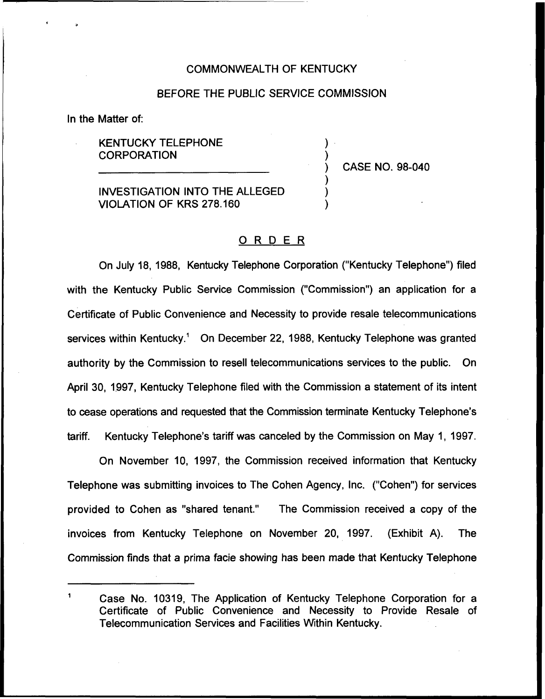#### COMMONWEALTH OF KENTUCKY

## BEFORE THE PUBLIC SERVICE COMMISSION

In the Matter of:

## KENTUCKY TELEPHONE **CORPORATION**

) CASE NO. 98-040

) )

) ) )

INVESTIGATION INTO THE ALLEGED VIOLATION OF KRS 278.160

#### ORDER

On July 18, 1988, Kentucky Telephone Corporation ("Kentucky Telephone") filed with the Kentucky Public Service Commission ("Commission") an application for a Certificate of Public Convenience and Necessity to provide resale telecommunications services within Kentucky." On December 22, 1988, Kentucky Telephone was granted authority by the Commission to resell telecommunications services to the public. On April 30, 1997, Kentucky Telephone filed with the Commission a statement of its intent to cease operations and requested that the Commission terminate Kentucky Telephone's tariff. Kentucky Telephone's tariff was canceled by the Commission on May 1, 1997.

On November 10, 1997, the Commission received information that Kentucky Telephone was submitting invoices to The Cohen Agency, Inc. ("Cohen") for service provided to Cohen as "shared tenant." The Commission received a copy of the invoices from Kentucky Telephone on November 20, 1997. (Exhibit A). The Commission finds that a prima facie showing has been made that Kentucky Telephone

 $\mathbf{1}$ Case No. 10319, The Application of Kentucky Telephone Corporation for a Certificate of Public Convenience and Necessity to Provide Resale of Telecommunication Services and Facilities Within Kentucky.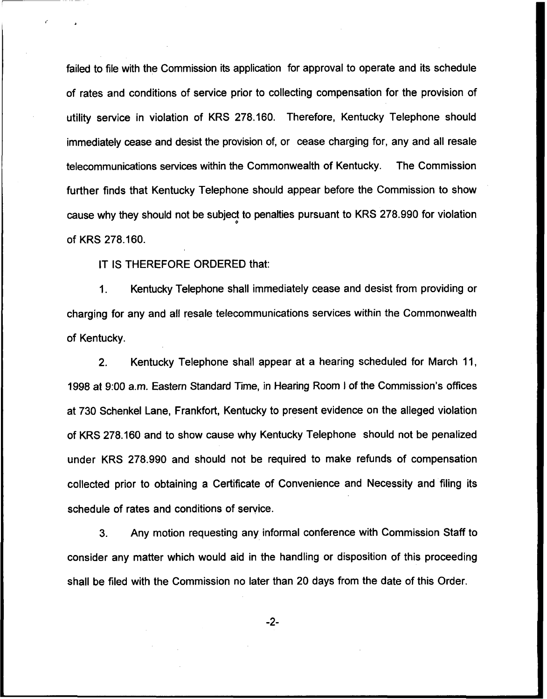failed to file with the Commission its application for approval to operate and its schedule of rates and conditions of service prior to collecting compensation for the provision of utility service in violation of KRS 278.160. Therefore, Kentucky Telephone should immediately cease and desist the provision of, or cease charging for, any and all resale telecommunications services within the Commonwealth of Kentucky. The Commission further finds that Kentucky Telephone should appear before the Commission to show cause why they should not be subject to penalties pursuant to KRS 278.990 for violatio of KRS 278.160.

IT IS THEREFORE ORDERED that:

Kentucky Telephone shall immediately cease and desist from providing or  $1<sub>1</sub>$ charging for any and all resale telecommunications services within the Commonwealth of Kentucky.

 $2.$ Kentucky Telephone shall appear at a hearing scheduled for March 11, 1998 at 9:00 a.m. Eastern Standard Time, in Hearing Room <sup>I</sup> of the Commission's offices at 730 Schenkel Lane, Frankfort, Kentucky to present evidence on the alleged violation of KRS 278.160 and to show cause why Kentucky Telephone should not be penalized under KRS 278.990 and should not be required to make refunds of compensation collected prior to obtaining a Certificate of Convenience and Necessity and filing its schedule of rates and conditions of service.

3. Any motion requesting any informal conference with Commission Staff to consider any matter which would aid in the handling or disposition of this proceeding shall be filed with the Commission no later than 20 days from the date of this Order.

 $-2-$